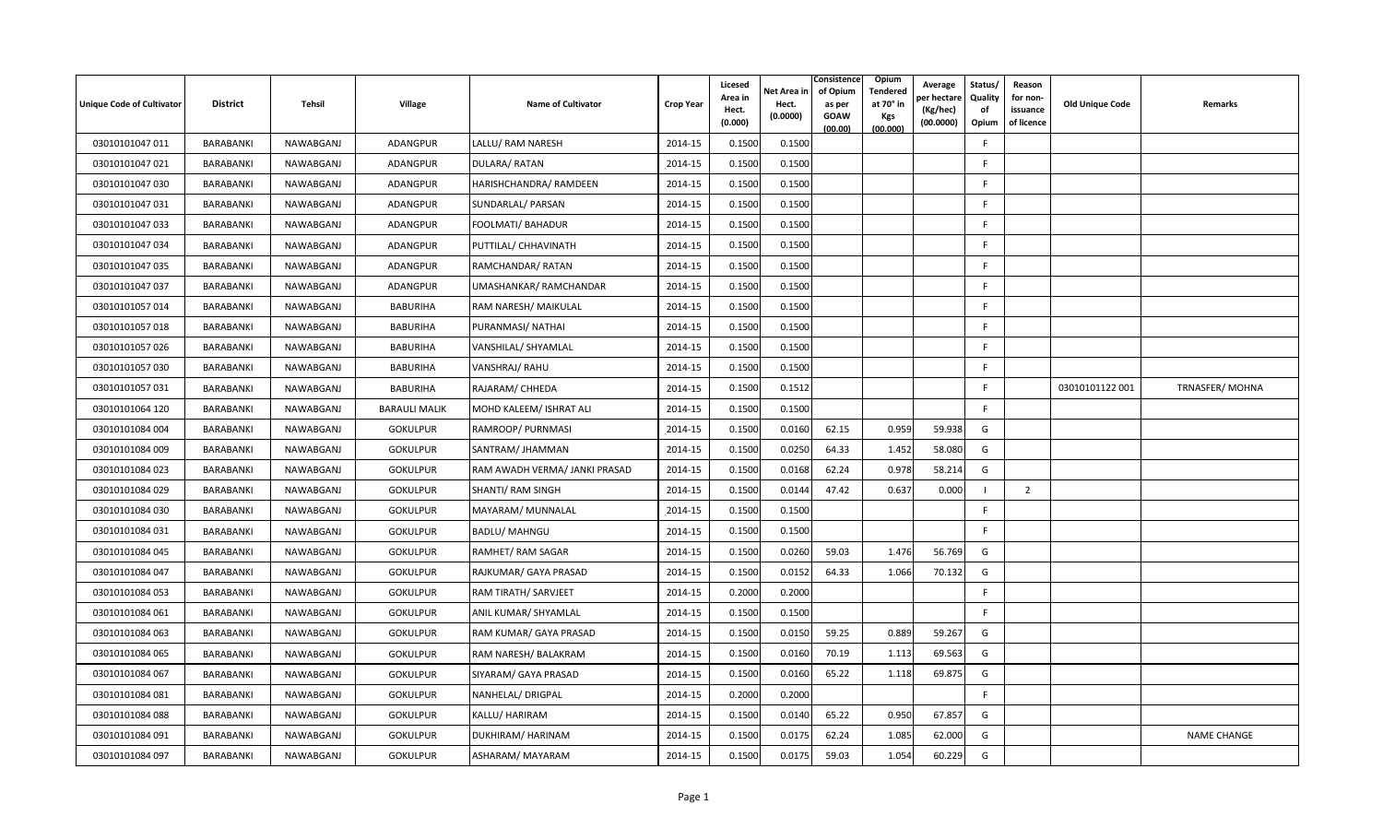| Unique Code of Cultivator | <b>District</b>  | Tehsil    | Village              | <b>Name of Cultivator</b>     | <b>Crop Year</b> | Licesed<br>Area in<br>Hect.<br>(0.000) | Net Area in<br>Hect.<br>(0.0000) | Consistence<br>of Opium<br>as per<br><b>GOAW</b><br>(00.00) | Opium<br><b>Tendered</b><br>at 70° in<br><b>Kgs</b><br>(00.000) | Average<br>วer hectarง<br>(Kg/hec)<br>(00.0000) | Status/<br>Quality<br>of<br>Opium | Reason<br>for non-<br>issuance<br>of licence | <b>Old Unique Code</b> | <b>Remarks</b>     |
|---------------------------|------------------|-----------|----------------------|-------------------------------|------------------|----------------------------------------|----------------------------------|-------------------------------------------------------------|-----------------------------------------------------------------|-------------------------------------------------|-----------------------------------|----------------------------------------------|------------------------|--------------------|
| 03010101047 011           | <b>BARABANKI</b> | NAWABGANJ | <b>ADANGPUR</b>      | LALLU/ RAM NARESH             | 2014-15          | 0.1500                                 | 0.1500                           |                                                             |                                                                 |                                                 | E                                 |                                              |                        |                    |
| 03010101047 021           | BARABANKI        | NAWABGANJ | ADANGPUR             | DULARA/RATAN                  | 2014-15          | 0.1500                                 | 0.1500                           |                                                             |                                                                 |                                                 | F.                                |                                              |                        |                    |
| 03010101047 030           | BARABANKI        | NAWABGANJ | <b>ADANGPUR</b>      | HARISHCHANDRA/ RAMDEEN        | 2014-15          | 0.1500                                 | 0.1500                           |                                                             |                                                                 |                                                 | F.                                |                                              |                        |                    |
| 03010101047 031           | BARABANKI        | NAWABGANJ | <b>ADANGPUR</b>      | SUNDARLAL/ PARSAN             | 2014-15          | 0.1500                                 | 0.1500                           |                                                             |                                                                 |                                                 | F                                 |                                              |                        |                    |
| 03010101047 033           | BARABANKI        | NAWABGANJ | <b>ADANGPUR</b>      | FOOLMATI/ BAHADUR             | 2014-15          | 0.1500                                 | 0.1500                           |                                                             |                                                                 |                                                 | F.                                |                                              |                        |                    |
| 03010101047 034           | BARABANKI        | NAWABGANJ | ADANGPUR             | PUTTILAL/ CHHAVINATH          | 2014-15          | 0.1500                                 | 0.1500                           |                                                             |                                                                 |                                                 | F.                                |                                              |                        |                    |
| 03010101047 035           | BARABANKI        | NAWABGANJ | <b>ADANGPUR</b>      | RAMCHANDAR/ RATAN             | 2014-15          | 0.1500                                 | 0.1500                           |                                                             |                                                                 |                                                 | F.                                |                                              |                        |                    |
| 03010101047 037           | BARABANKI        | NAWABGANJ | <b>ADANGPUR</b>      | UMASHANKAR/RAMCHANDAR         | 2014-15          | 0.1500                                 | 0.1500                           |                                                             |                                                                 |                                                 | F.                                |                                              |                        |                    |
| 03010101057 014           | BARABANKI        | NAWABGANJ | BABURIHA             | RAM NARESH/ MAIKULAL          | 2014-15          | 0.1500                                 | 0.1500                           |                                                             |                                                                 |                                                 | F.                                |                                              |                        |                    |
| 03010101057 018           | BARABANKI        | NAWABGANJ | <b>BABURIHA</b>      | PURANMASI/ NATHAI             | 2014-15          | 0.1500                                 | 0.1500                           |                                                             |                                                                 |                                                 | F.                                |                                              |                        |                    |
| 03010101057 026           | BARABANKI        | NAWABGANJ | <b>BABURIHA</b>      | VANSHILAL/ SHYAMLAL           | 2014-15          | 0.1500                                 | 0.1500                           |                                                             |                                                                 |                                                 | F.                                |                                              |                        |                    |
| 03010101057 030           | BARABANKI        | NAWABGANJ | <b>BABURIHA</b>      | VANSHRAJ/RAHU                 | 2014-15          | 0.1500                                 | 0.1500                           |                                                             |                                                                 |                                                 | F.                                |                                              |                        |                    |
| 03010101057031            | BARABANKI        | NAWABGANJ | <b>BABURIHA</b>      | RAJARAM/ CHHEDA               | 2014-15          | 0.1500                                 | 0.1512                           |                                                             |                                                                 |                                                 | F.                                |                                              | 03010101122 001        | TRNASFER/MOHNA     |
| 03010101064 120           | BARABANKI        | NAWABGANJ | <b>BARAULI MALIK</b> | MOHD KALEEM/ ISHRAT ALI       | 2014-15          | 0.1500                                 | 0.1500                           |                                                             |                                                                 |                                                 | F.                                |                                              |                        |                    |
| 03010101084 004           | BARABANKI        | NAWABGANJ | <b>GOKULPUR</b>      | RAMROOP/ PURNMASI             | 2014-15          | 0.1500                                 | 0.0160                           | 62.15                                                       | 0.959                                                           | 59.938                                          | G                                 |                                              |                        |                    |
| 03010101084 009           | BARABANKI        | NAWABGANJ | <b>GOKULPUR</b>      | SANTRAM/ JHAMMAN              | 2014-15          | 0.1500                                 | 0.0250                           | 64.33                                                       | 1.452                                                           | 58.080                                          | G                                 |                                              |                        |                    |
| 03010101084 023           | BARABANKI        | NAWABGANJ | <b>GOKULPUR</b>      | RAM AWADH VERMA/ JANKI PRASAD | 2014-15          | 0.1500                                 | 0.0168                           | 62.24                                                       | 0.978                                                           | 58.214                                          | G                                 |                                              |                        |                    |
| 03010101084 029           | BARABANKI        | NAWABGANJ | <b>GOKULPUR</b>      | SHANTI/ RAM SINGH             | 2014-15          | 0.1500                                 | 0.0144                           | 47.42                                                       | 0.637                                                           | 0.000                                           |                                   | 2                                            |                        |                    |
| 03010101084 030           | BARABANKI        | NAWABGANJ | <b>GOKULPUR</b>      | MAYARAM/ MUNNALAL             | 2014-15          | 0.1500                                 | 0.1500                           |                                                             |                                                                 |                                                 | F.                                |                                              |                        |                    |
| 03010101084 031           | BARABANKI        | NAWABGANJ | <b>GOKULPUR</b>      | <b>BADLU/ MAHNGU</b>          | 2014-15          | 0.1500                                 | 0.1500                           |                                                             |                                                                 |                                                 | F                                 |                                              |                        |                    |
| 03010101084 045           | BARABANKI        | NAWABGANJ | <b>GOKULPUR</b>      | RAMHET/ RAM SAGAR             | 2014-15          | 0.1500                                 | 0.0260                           | 59.03                                                       | 1.476                                                           | 56.769                                          | G                                 |                                              |                        |                    |
| 03010101084 047           | BARABANKI        | NAWABGANJ | <b>GOKULPUR</b>      | RAJKUMAR/ GAYA PRASAD         | 2014-15          | 0.1500                                 | 0.0152                           | 64.33                                                       | 1.066                                                           | 70.132                                          | G                                 |                                              |                        |                    |
| 03010101084 053           | BARABANKI        | NAWABGANJ | <b>GOKULPUR</b>      | RAM TIRATH/ SARVJEET          | 2014-15          | 0.2000                                 | 0.2000                           |                                                             |                                                                 |                                                 | F.                                |                                              |                        |                    |
| 03010101084 061           | BARABANKI        | NAWABGANJ | <b>GOKULPUR</b>      | ANIL KUMAR/ SHYAMLAL          | 2014-15          | 0.1500                                 | 0.1500                           |                                                             |                                                                 |                                                 | F.                                |                                              |                        |                    |
| 03010101084 063           | BARABANKI        | NAWABGANJ | <b>GOKULPUR</b>      | RAM KUMAR/ GAYA PRASAD        | 2014-15          | 0.1500                                 | 0.0150                           | 59.25                                                       | 0.889                                                           | 59.267                                          | G                                 |                                              |                        |                    |
| 03010101084 065           | BARABANKI        | NAWABGANJ | <b>GOKULPUR</b>      | RAM NARESH/ BALAKRAM          | 2014-15          | 0.1500                                 | 0.0160                           | 70.19                                                       | 1.113                                                           | 69.563                                          | G                                 |                                              |                        |                    |
| 03010101084 067           | BARABANKI        | NAWABGANJ | <b>GOKULPUR</b>      | SIYARAM/ GAYA PRASAD          | 2014-15          | 0.1500                                 | 0.0160                           | 65.22                                                       | 1.118                                                           | 69.875                                          | G                                 |                                              |                        |                    |
| 03010101084 081           | BARABANKI        | NAWABGANJ | <b>GOKULPUR</b>      | NANHELAL/ DRIGPAL             | 2014-15          | 0.2000                                 | 0.2000                           |                                                             |                                                                 |                                                 | F.                                |                                              |                        |                    |
| 03010101084 088           | BARABANKI        | NAWABGANJ | <b>GOKULPUR</b>      | KALLU/ HARIRAM                | 2014-15          | 0.1500                                 | 0.0140                           | 65.22                                                       | 0.950                                                           | 67.857                                          | G                                 |                                              |                        |                    |
| 03010101084 091           | BARABANKI        | NAWABGANJ | <b>GOKULPUR</b>      | DUKHIRAM/ HARINAM             | 2014-15          | 0.1500                                 | 0.0175                           | 62.24                                                       | 1.085                                                           | 62.000                                          | G                                 |                                              |                        | <b>NAME CHANGE</b> |
| 03010101084 097           | BARABANKI        | NAWABGANJ | <b>GOKULPUR</b>      | ASHARAM/ MAYARAM              | 2014-15          | 0.1500                                 | 0.0175                           | 59.03                                                       | 1.054                                                           | 60.229                                          | G                                 |                                              |                        |                    |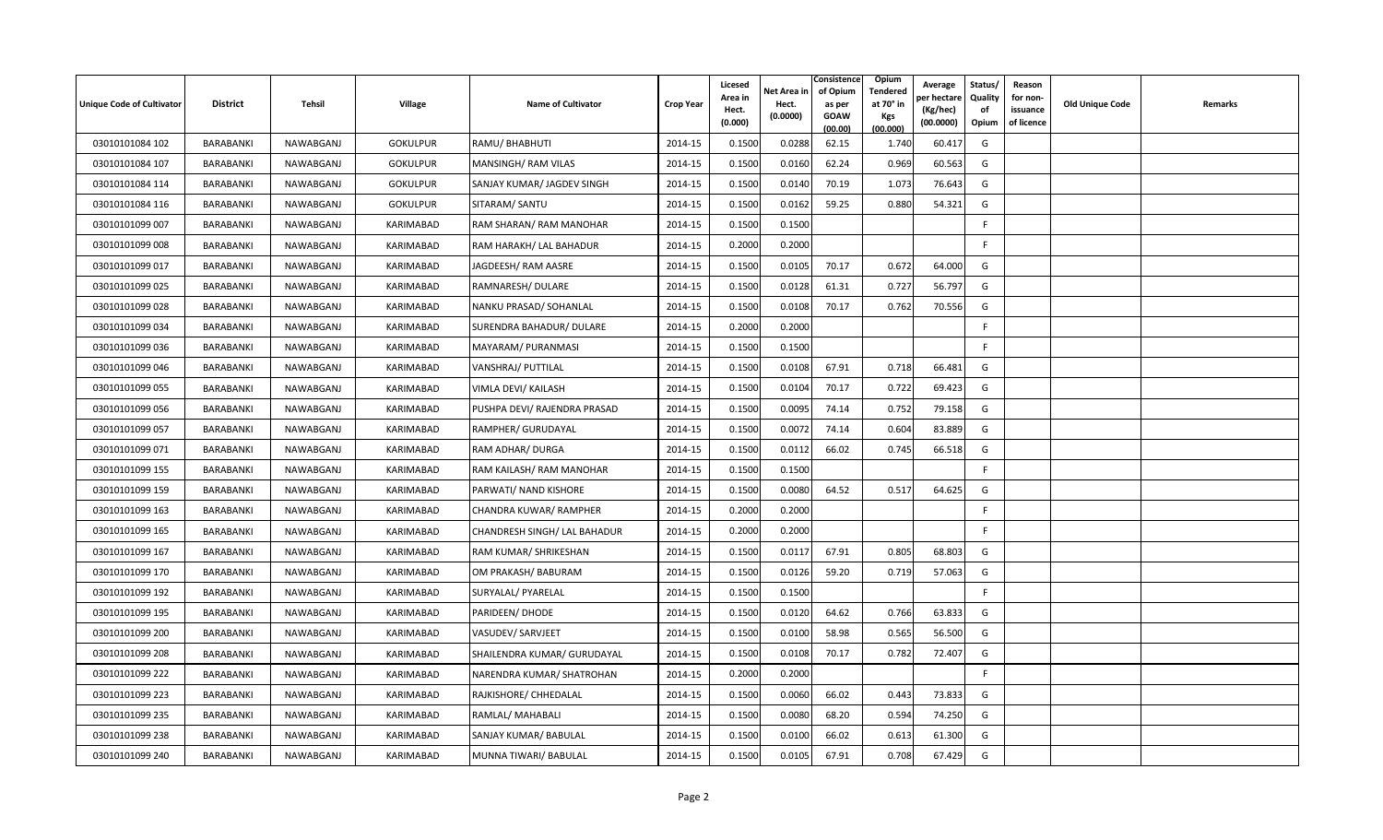| <b>Unique Code of Cultivator</b> | <b>District</b>  | Tehsil    | <b>Village</b>   | <b>Name of Cultivator</b>    | <b>Crop Year</b> | Licesed<br>Area in<br>Hect.<br>(0.000) | Net Area in<br>Hect.<br>(0.0000) | Consistence<br>of Opium<br>as per<br><b>GOAW</b><br>(00.00) | <b>Opium</b><br>Tendered<br>at 70 $^{\circ}$ in<br><b>Kgs</b><br>(00.000) | Average<br>er hectar<br>(Kg/hec)<br>(00.0000) | Status/<br>Quality<br>of<br>Opium | Reason<br>for non-<br>issuance<br>of licence | <b>Old Unique Code</b> | Remarks |
|----------------------------------|------------------|-----------|------------------|------------------------------|------------------|----------------------------------------|----------------------------------|-------------------------------------------------------------|---------------------------------------------------------------------------|-----------------------------------------------|-----------------------------------|----------------------------------------------|------------------------|---------|
| 03010101084 102                  | BARABANKI        | NAWABGANJ | <b>GOKULPUR</b>  | RAMU/ BHABHUTI               | 2014-15          | 0.1500                                 | 0.0288                           | 62.15                                                       | 1.740                                                                     | 60.417                                        | G                                 |                                              |                        |         |
| 03010101084 107                  | BARABANKI        | NAWABGANJ | <b>GOKULPUR</b>  | MANSINGH/ RAM VILAS          | 2014-15          | 0.1500                                 | 0.0160                           | 62.24                                                       | 0.969                                                                     | 60.563                                        | G                                 |                                              |                        |         |
| 03010101084 114                  | BARABANKI        | NAWABGANJ | <b>GOKULPUR</b>  | SANJAY KUMAR/ JAGDEV SINGH   | 2014-15          | 0.1500                                 | 0.0140                           | 70.19                                                       | 1.073                                                                     | 76.643                                        | G                                 |                                              |                        |         |
| 03010101084 116                  | BARABANKI        | NAWABGANJ | <b>GOKULPUR</b>  | SITARAM/ SANTU               | 2014-15          | 0.1500                                 | 0.0162                           | 59.25                                                       | 0.880                                                                     | 54.321                                        | G                                 |                                              |                        |         |
| 03010101099 007                  | <b>BARABANKI</b> | NAWABGANJ | KARIMABAD        | RAM SHARAN/ RAM MANOHAR      | 2014-15          | 0.1500                                 | 0.1500                           |                                                             |                                                                           |                                               | F                                 |                                              |                        |         |
| 03010101099 008                  | BARABANKI        | NAWABGANJ | <b>KARIMABAD</b> | RAM HARAKH/ LAL BAHADUR      | 2014-15          | 0.2000                                 | 0.2000                           |                                                             |                                                                           |                                               | F.                                |                                              |                        |         |
| 03010101099 017                  | BARABANKI        | NAWABGANJ | KARIMABAD        | JAGDEESH/ RAM AASRE          | 2014-15          | 0.1500                                 | 0.0105                           | 70.17                                                       | 0.672                                                                     | 64.000                                        | G                                 |                                              |                        |         |
| 03010101099 025                  | BARABANKI        | NAWABGANJ | KARIMABAD        | RAMNARESH/ DULARE            | 2014-15          | 0.1500                                 | 0.0128                           | 61.31                                                       | 0.727                                                                     | 56.797                                        | G                                 |                                              |                        |         |
| 03010101099 028                  | BARABANKI        | NAWABGANJ | KARIMABAD        | NANKU PRASAD/ SOHANLAL       | 2014-15          | 0.1500                                 | 0.0108                           | 70.17                                                       | 0.762                                                                     | 70.556                                        | G                                 |                                              |                        |         |
| 03010101099 034                  | BARABANKI        | NAWABGANJ | KARIMABAD        | SURENDRA BAHADUR/ DULARE     | 2014-15          | 0.2000                                 | 0.2000                           |                                                             |                                                                           |                                               | F                                 |                                              |                        |         |
| 03010101099 036                  | BARABANKI        | NAWABGANJ | KARIMABAD        | MAYARAM/ PURANMASI           | 2014-15          | 0.1500                                 | 0.1500                           |                                                             |                                                                           |                                               | F                                 |                                              |                        |         |
| 03010101099 046                  | <b>BARABANKI</b> | NAWABGANJ | KARIMABAD        | VANSHRAJ/ PUTTILAL           | 2014-15          | 0.1500                                 | 0.0108                           | 67.91                                                       | 0.718                                                                     | 66.481                                        | G                                 |                                              |                        |         |
| 03010101099 055                  | BARABANKI        | NAWABGANJ | KARIMABAD        | VIMLA DEVI/ KAILASH          | 2014-15          | 0.1500                                 | 0.0104                           | 70.17                                                       | 0.722                                                                     | 69.423                                        | G                                 |                                              |                        |         |
| 03010101099 056                  | BARABANKI        | NAWABGANJ | KARIMABAD        | PUSHPA DEVI/ RAJENDRA PRASAD | 2014-15          | 0.1500                                 | 0.0095                           | 74.14                                                       | 0.752                                                                     | 79.158                                        | G                                 |                                              |                        |         |
| 03010101099 057                  | BARABANKI        | NAWABGANJ | KARIMABAD        | RAMPHER/ GURUDAYAL           | 2014-15          | 0.1500                                 | 0.0072                           | 74.14                                                       | 0.604                                                                     | 83.889                                        | G                                 |                                              |                        |         |
| 03010101099 071                  | BARABANKI        | NAWABGANJ | KARIMABAD        | RAM ADHAR/ DURGA             | 2014-15          | 0.1500                                 | 0.0112                           | 66.02                                                       | 0.745                                                                     | 66.518                                        | G                                 |                                              |                        |         |
| 03010101099 155                  | <b>BARABANKI</b> | NAWABGANJ | KARIMABAD        | RAM KAILASH/ RAM MANOHAR     | 2014-15          | 0.1500                                 | 0.1500                           |                                                             |                                                                           |                                               | F                                 |                                              |                        |         |
| 03010101099 159                  | BARABANKI        | NAWABGANJ | KARIMABAD        | PARWATI/ NAND KISHORE        | 2014-15          | 0.1500                                 | 0.0080                           | 64.52                                                       | 0.517                                                                     | 64.625                                        | G                                 |                                              |                        |         |
| 03010101099 163                  | BARABANKI        | NAWABGANJ | KARIMABAD        | CHANDRA KUWAR/ RAMPHER       | 2014-15          | 0.2000                                 | 0.2000                           |                                                             |                                                                           |                                               | F                                 |                                              |                        |         |
| 03010101099 165                  | BARABANKI        | NAWABGANJ | KARIMABAD        | CHANDRESH SINGH/ LAL BAHADUR | 2014-15          | 0.2000                                 | 0.2000                           |                                                             |                                                                           |                                               | F                                 |                                              |                        |         |
| 03010101099 167                  | BARABANKI        | NAWABGANJ | KARIMABAD        | RAM KUMAR/ SHRIKESHAN        | 2014-15          | 0.1500                                 | 0.0117                           | 67.91                                                       | 0.805                                                                     | 68.803                                        | G                                 |                                              |                        |         |
| 03010101099 170                  | <b>BARABANKI</b> | NAWABGANJ | <b>KARIMABAD</b> | OM PRAKASH/ BABURAM          | 2014-15          | 0.1500                                 | 0.0126                           | 59.20                                                       | 0.719                                                                     | 57.063                                        | G                                 |                                              |                        |         |
| 03010101099 192                  | BARABANKI        | NAWABGANJ | KARIMABAD        | SURYALAL/ PYARELAL           | 2014-15          | 0.1500                                 | 0.1500                           |                                                             |                                                                           |                                               | F                                 |                                              |                        |         |
| 03010101099 195                  | BARABANKI        | NAWABGANJ | KARIMABAD        | PARIDEEN/ DHODE              | 2014-15          | 0.1500                                 | 0.0120                           | 64.62                                                       | 0.766                                                                     | 63.833                                        | G                                 |                                              |                        |         |
| 03010101099 200                  | BARABANKI        | NAWABGANJ | KARIMABAD        | VASUDEV/ SARVJEET            | 2014-15          | 0.1500                                 | 0.0100                           | 58.98                                                       | 0.565                                                                     | 56.500                                        | G                                 |                                              |                        |         |
| 03010101099 208                  | BARABANKI        | NAWABGANJ | KARIMABAD        | SHAILENDRA KUMAR/ GURUDAYAL  | 2014-15          | 0.1500                                 | 0.0108                           | 70.17                                                       | 0.782                                                                     | 72.407                                        | G                                 |                                              |                        |         |
| 03010101099 222                  | BARABANKI        | NAWABGANJ | KARIMABAD        | NARENDRA KUMAR/ SHATROHAN    | 2014-15          | 0.2000                                 | 0.2000                           |                                                             |                                                                           |                                               | $\mathsf{F}$                      |                                              |                        |         |
| 03010101099 223                  | BARABANKI        | NAWABGANJ | KARIMABAD        | RAJKISHORE/ CHHEDALAL        | 2014-15          | 0.1500                                 | 0.0060                           | 66.02                                                       | 0.443                                                                     | 73.833                                        | G                                 |                                              |                        |         |
| 03010101099 235                  | BARABANKI        | NAWABGANJ | KARIMABAD        | RAMLAL/ MAHABALI             | 2014-15          | 0.1500                                 | 0.0080                           | 68.20                                                       | 0.594                                                                     | 74.250                                        | G                                 |                                              |                        |         |
| 03010101099 238                  | <b>BARABANKI</b> | NAWABGANJ | KARIMABAD        | SANJAY KUMAR/ BABULAL        | 2014-15          | 0.1500                                 | 0.0100                           | 66.02                                                       | 0.613                                                                     | 61.300                                        | G                                 |                                              |                        |         |
| 03010101099 240                  | BARABANKI        | NAWABGANJ | KARIMABAD        | MUNNA TIWARI/ BABULAL        | 2014-15          | 0.1500                                 | 0.0105                           | 67.91                                                       | 0.708                                                                     | 67.429                                        | G                                 |                                              |                        |         |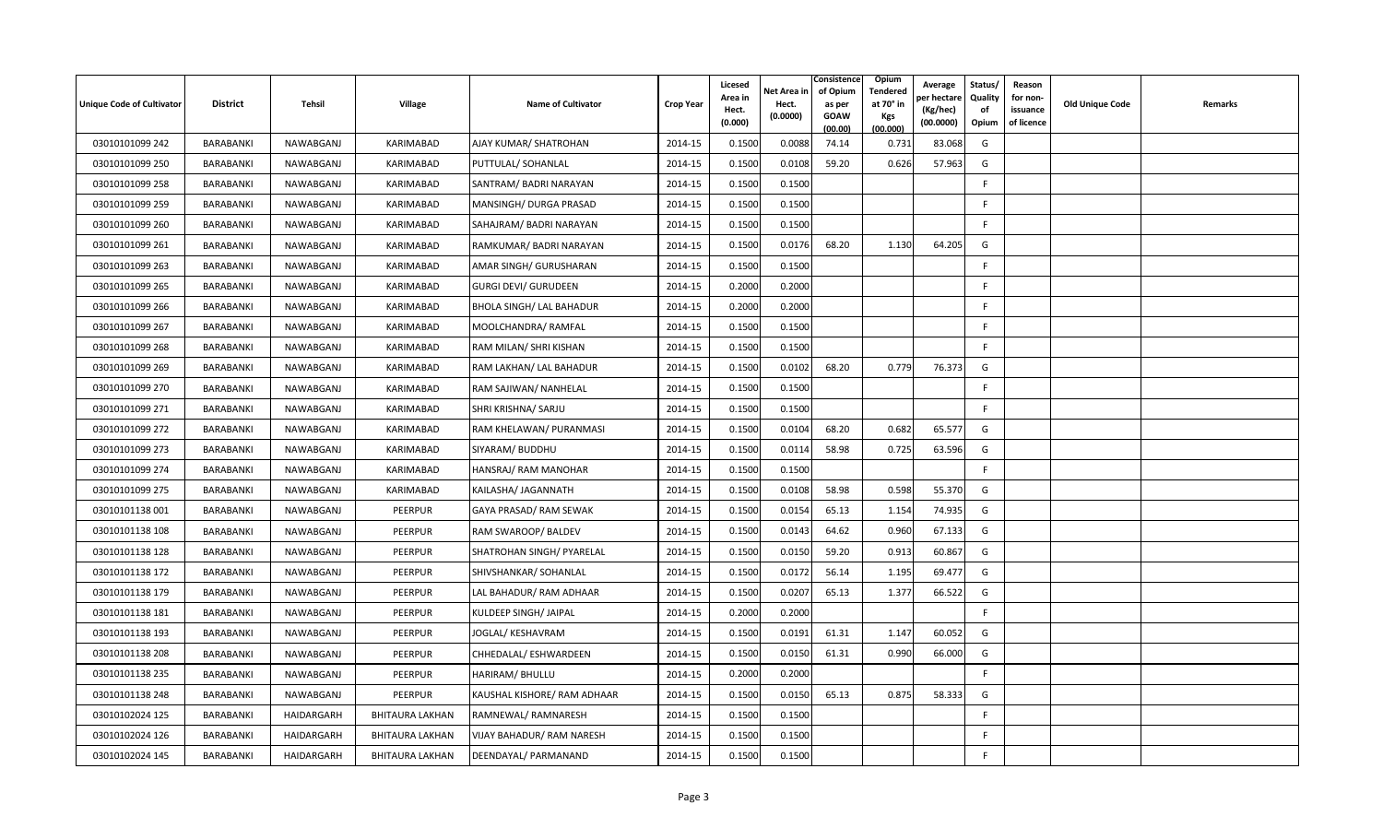| <b>Unique Code of Cultivator</b> | <b>District</b>  | Tehsil     | <b>Village</b>         | <b>Name of Cultivator</b>   | <b>Crop Year</b> | Licesed<br>Area in<br>Hect.<br>(0.000) | Net Area in<br>Hect.<br>(0.0000) | Consistence<br>of Opium<br>as per<br><b>GOAW</b><br>(00.00) | <b>Opium</b><br>Tendered<br>at 70 $^{\circ}$ in<br><b>Kgs</b><br>(00.000) | Average<br>er hectar<br>(Kg/hec)<br>(00.0000) | Status/<br>Quality<br>of<br>Opium | Reason<br>for non-<br>issuance<br>of licence | <b>Old Unique Code</b> | Remarks |
|----------------------------------|------------------|------------|------------------------|-----------------------------|------------------|----------------------------------------|----------------------------------|-------------------------------------------------------------|---------------------------------------------------------------------------|-----------------------------------------------|-----------------------------------|----------------------------------------------|------------------------|---------|
| 03010101099 242                  | BARABANKI        | NAWABGANJ  | KARIMABAD              | AJAY KUMAR/ SHATROHAN       | 2014-15          | 0.1500                                 | 0.0088                           | 74.14                                                       | 0.731                                                                     | 83.068                                        | G                                 |                                              |                        |         |
| 03010101099 250                  | BARABANKI        | NAWABGANJ  | KARIMABAD              | PUTTULAL/ SOHANLAL          | 2014-15          | 0.1500                                 | 0.0108                           | 59.20                                                       | 0.626                                                                     | 57.963                                        | G                                 |                                              |                        |         |
| 03010101099 258                  | BARABANKI        | NAWABGANJ  | KARIMABAD              | SANTRAM/ BADRI NARAYAN      | 2014-15          | 0.1500                                 | 0.1500                           |                                                             |                                                                           |                                               | F                                 |                                              |                        |         |
| 03010101099 259                  | BARABANKI        | NAWABGANJ  | KARIMABAD              | MANSINGH/ DURGA PRASAD      | 2014-15          | 0.1500                                 | 0.1500                           |                                                             |                                                                           |                                               | -F                                |                                              |                        |         |
| 03010101099 260                  | <b>BARABANKI</b> | NAWABGANJ  | KARIMABAD              | SAHAJRAM/ BADRI NARAYAN     | 2014-15          | 0.1500                                 | 0.1500                           |                                                             |                                                                           |                                               | F.                                |                                              |                        |         |
| 03010101099 261                  | BARABANKI        | NAWABGANJ  | <b>KARIMABAD</b>       | RAMKUMAR/ BADRI NARAYAN     | 2014-15          | 0.1500                                 | 0.0176                           | 68.20                                                       | 1.130                                                                     | 64.205                                        | G                                 |                                              |                        |         |
| 03010101099 263                  | BARABANKI        | NAWABGANJ  | KARIMABAD              | AMAR SINGH/ GURUSHARAN      | 2014-15          | 0.1500                                 | 0.1500                           |                                                             |                                                                           |                                               | F                                 |                                              |                        |         |
| 03010101099 265                  | BARABANKI        | NAWABGANJ  | KARIMABAD              | <b>GURGI DEVI/ GURUDEEN</b> | 2014-15          | 0.2000                                 | 0.2000                           |                                                             |                                                                           |                                               | F                                 |                                              |                        |         |
| 03010101099 266                  | BARABANKI        | NAWABGANJ  | KARIMABAD              | BHOLA SINGH/ LAL BAHADUR    | 2014-15          | 0.2000                                 | 0.2000                           |                                                             |                                                                           |                                               | F                                 |                                              |                        |         |
| 03010101099 267                  | BARABANKI        | NAWABGANJ  | KARIMABAD              | MOOLCHANDRA/ RAMFAL         | 2014-15          | 0.1500                                 | 0.1500                           |                                                             |                                                                           |                                               | F                                 |                                              |                        |         |
| 03010101099 268                  | BARABANKI        | NAWABGANJ  | KARIMABAD              | RAM MILAN/ SHRI KISHAN      | 2014-15          | 0.1500                                 | 0.1500                           |                                                             |                                                                           |                                               | F                                 |                                              |                        |         |
| 03010101099 269                  | BARABANKI        | NAWABGANJ  | KARIMABAD              | RAM LAKHAN/ LAL BAHADUR     | 2014-15          | 0.1500                                 | 0.0102                           | 68.20                                                       | 0.779                                                                     | 76.373                                        | G                                 |                                              |                        |         |
| 03010101099 270                  | BARABANKI        | NAWABGANJ  | KARIMABAD              | RAM SAJIWAN/ NANHELAL       | 2014-15          | 0.1500                                 | 0.1500                           |                                                             |                                                                           |                                               | F.                                |                                              |                        |         |
| 03010101099 271                  | BARABANKI        | NAWABGANJ  | KARIMABAD              | SHRI KRISHNA/ SARJU         | 2014-15          | 0.1500                                 | 0.1500                           |                                                             |                                                                           |                                               | F.                                |                                              |                        |         |
| 03010101099 272                  | BARABANKI        | NAWABGANJ  | KARIMABAD              | RAM KHELAWAN/ PURANMASI     | 2014-15          | 0.1500                                 | 0.0104                           | 68.20                                                       | 0.682                                                                     | 65.577                                        | G                                 |                                              |                        |         |
| 03010101099 273                  | BARABANKI        | NAWABGANJ  | KARIMABAD              | SIYARAM/ BUDDHU             | 2014-15          | 0.1500                                 | 0.0114                           | 58.98                                                       | 0.725                                                                     | 63.596                                        | G                                 |                                              |                        |         |
| 03010101099 274                  | BARABANKI        | NAWABGANJ  | KARIMABAD              | HANSRAJ/ RAM MANOHAR        | 2014-15          | 0.1500                                 | 0.1500                           |                                                             |                                                                           |                                               | F                                 |                                              |                        |         |
| 03010101099 275                  | BARABANKI        | NAWABGANJ  | KARIMABAD              | KAILASHA/ JAGANNATH         | 2014-15          | 0.1500                                 | 0.0108                           | 58.98                                                       | 0.598                                                                     | 55.370                                        | G                                 |                                              |                        |         |
| 03010101138 001                  | BARABANKI        | NAWABGANJ  | PEERPUR                | GAYA PRASAD/ RAM SEWAK      | 2014-15          | 0.1500                                 | 0.0154                           | 65.13                                                       | 1.154                                                                     | 74.935                                        | G                                 |                                              |                        |         |
| 03010101138 108                  | BARABANKI        | NAWABGANJ  | <b>PEERPUR</b>         | RAM SWAROOP/ BALDEV         | 2014-15          | 0.1500                                 | 0.0143                           | 64.62                                                       | 0.960                                                                     | 67.133                                        | G                                 |                                              |                        |         |
| 03010101138 128                  | BARABANKI        | NAWABGANJ  | PEERPUR                | SHATROHAN SINGH/ PYARELAL   | 2014-15          | 0.1500                                 | 0.0150                           | 59.20                                                       | 0.913                                                                     | 60.867                                        | G                                 |                                              |                        |         |
| 03010101138 172                  | <b>BARABANKI</b> | NAWABGANJ  | <b>PEERPUR</b>         | SHIVSHANKAR/ SOHANLAL       | 2014-15          | 0.1500                                 | 0.0172                           | 56.14                                                       | 1.195                                                                     | 69.477                                        | G                                 |                                              |                        |         |
| 03010101138 179                  | BARABANKI        | NAWABGANJ  | <b>PEERPUR</b>         | LAL BAHADUR/ RAM ADHAAR     | 2014-15          | 0.1500                                 | 0.0207                           | 65.13                                                       | 1.377                                                                     | 66.522                                        | G                                 |                                              |                        |         |
| 03010101138 181                  | BARABANKI        | NAWABGANJ  | PEERPUR                | KULDEEP SINGH/ JAIPAL       | 2014-15          | 0.2000                                 | 0.2000                           |                                                             |                                                                           |                                               | F                                 |                                              |                        |         |
| 03010101138 193                  | BARABANKI        | NAWABGANJ  | PEERPUR                | JOGLAL/ KESHAVRAM           | 2014-15          | 0.1500                                 | 0.0191                           | 61.31                                                       | 1.147                                                                     | 60.052                                        | G                                 |                                              |                        |         |
| 03010101138 208                  | BARABANKI        | NAWABGANJ  | PEERPUR                | CHHEDALAL/ ESHWARDEEN       | 2014-15          | 0.1500                                 | 0.0150                           | 61.31                                                       | 0.990                                                                     | 66.000                                        | G                                 |                                              |                        |         |
| 03010101138 235                  | BARABANKI        | NAWABGANJ  | PEERPUR                | HARIRAM/ BHULLU             | 2014-15          | 0.2000                                 | 0.2000                           |                                                             |                                                                           |                                               | $\mathsf{F}$                      |                                              |                        |         |
| 03010101138 248                  | BARABANKI        | NAWABGANJ  | PEERPUR                | KAUSHAL KISHORE/ RAM ADHAAR | 2014-15          | 0.1500                                 | 0.0150                           | 65.13                                                       | 0.875                                                                     | 58.333                                        | G                                 |                                              |                        |         |
| 03010102024 125                  | BARABANKI        | HAIDARGARH | <b>BHITAURA LAKHAN</b> | RAMNEWAL/ RAMNARESH         | 2014-15          | 0.1500                                 | 0.1500                           |                                                             |                                                                           |                                               | F                                 |                                              |                        |         |
| 03010102024 126                  | BARABANKI        | HAIDARGARH | BHITAURA LAKHAN        | VIJAY BAHADUR/ RAM NARESH   | 2014-15          | 0.1500                                 | 0.1500                           |                                                             |                                                                           |                                               | F                                 |                                              |                        |         |
| 03010102024 145                  | BARABANKI        | HAIDARGARH | <b>BHITAURA LAKHAN</b> | DEENDAYAL/ PARMANAND        | 2014-15          | 0.1500                                 | 0.1500                           |                                                             |                                                                           |                                               | F                                 |                                              |                        |         |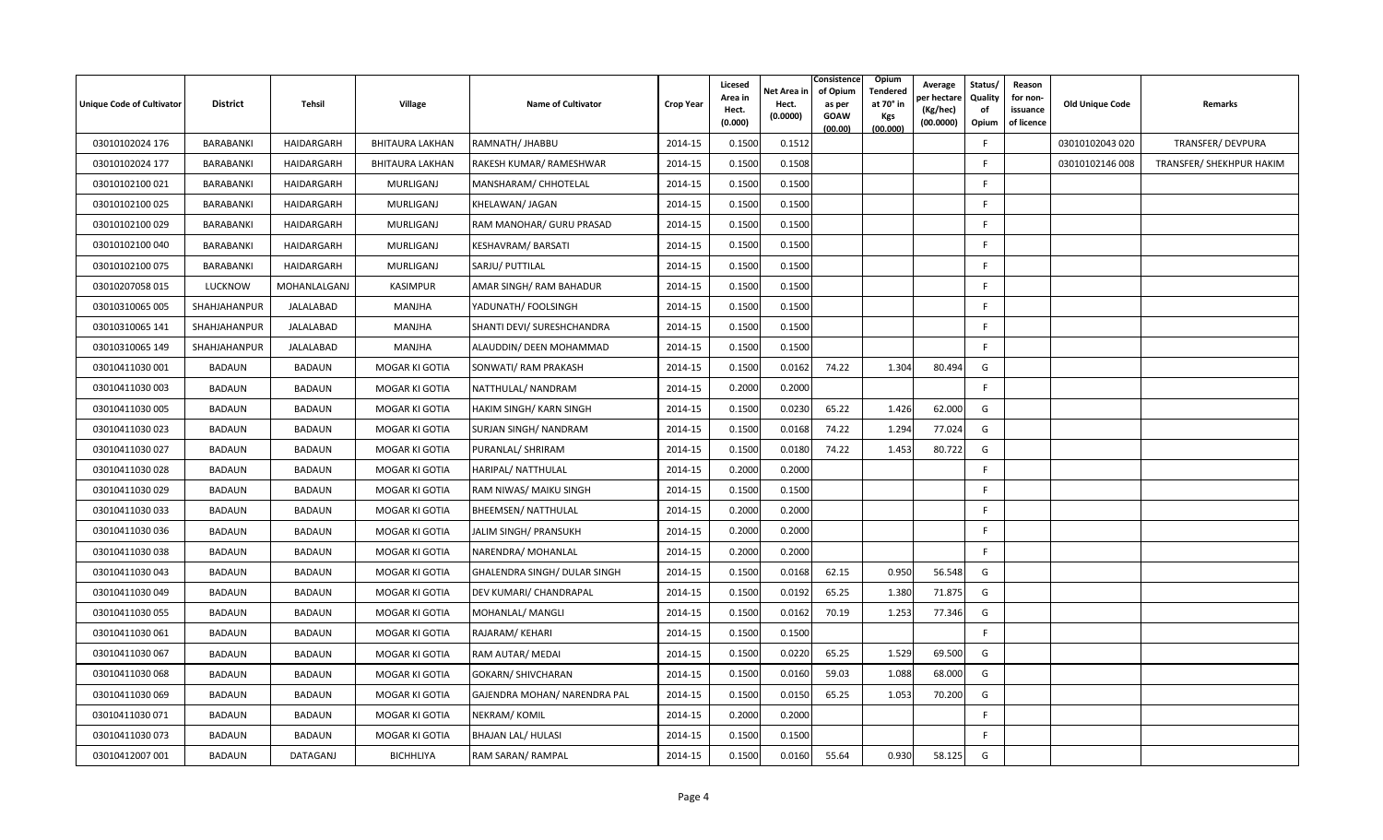| Unique Code of Cultivator | <b>District</b> | Tehsil        | Village                | <b>Name of Cultivator</b>      | <b>Crop Year</b> | Licesed<br>Area in<br>Hect.<br>(0.000) | Net Area in<br>Hect.<br>(0.0000) | Consistence<br>of Opium<br>as per<br><b>GOAW</b><br>(00.00) | Opium<br><b>Tendered</b><br>at 70° in<br>Kgs<br>(00.000) | Average<br>per hectare<br>(Kg/hec)<br>(00.0000) | Status/<br>Quality<br>of<br>Opium | Reason<br>for non-<br>issuance<br>of licence | Old Unique Code | Remarks                  |
|---------------------------|-----------------|---------------|------------------------|--------------------------------|------------------|----------------------------------------|----------------------------------|-------------------------------------------------------------|----------------------------------------------------------|-------------------------------------------------|-----------------------------------|----------------------------------------------|-----------------|--------------------------|
| 03010102024 176           | BARABANKI       | HAIDARGARH    | <b>BHITAURA LAKHAN</b> | RAMNATH/ JHABBU                | 2014-15          | 0.1500                                 | 0.1512                           |                                                             |                                                          |                                                 | F.                                |                                              | 03010102043 020 | TRANSFER/ DEVPURA        |
| 03010102024 177           | BARABANKI       | HAIDARGARH    | <b>BHITAURA LAKHAN</b> | RAKESH KUMAR/ RAMESHWAR        | 2014-15          | 0.1500                                 | 0.1508                           |                                                             |                                                          |                                                 | F                                 |                                              | 03010102146 008 | TRANSFER/ SHEKHPUR HAKIM |
| 03010102100021            | BARABANKI       | HAIDARGARH    | MURLIGANJ              | MANSHARAM/ CHHOTELAL           | 2014-15          | 0.1500                                 | 0.1500                           |                                                             |                                                          |                                                 | F.                                |                                              |                 |                          |
| 03010102100 025           | BARABANKI       | HAIDARGARH    | MURLIGANJ              | KHELAWAN/ JAGAN                | 2014-15          | 0.1500                                 | 0.1500                           |                                                             |                                                          |                                                 | F.                                |                                              |                 |                          |
| 03010102100 029           | BARABANKI       | HAIDARGARH    | MURLIGANJ              | RAM MANOHAR/ GURU PRASAD       | 2014-15          | 0.1500                                 | 0.1500                           |                                                             |                                                          |                                                 | -F                                |                                              |                 |                          |
| 03010102100040            | BARABANKI       | HAIDARGARH    | MURLIGANJ              | KESHAVRAM/BARSATI              | 2014-15          | 0.1500                                 | 0.1500                           |                                                             |                                                          |                                                 | E                                 |                                              |                 |                          |
| 03010102100 075           | BARABANKI       | HAIDARGARH    | MURLIGANJ              | SARJU/ PUTTILAL                | 2014-15          | 0.1500                                 | 0.1500                           |                                                             |                                                          |                                                 | E                                 |                                              |                 |                          |
| 03010207058 015           | <b>LUCKNOW</b>  | MOHANLALGANJ  | <b>KASIMPUR</b>        | AMAR SINGH/ RAM BAHADUR        | 2014-15          | 0.1500                                 | 0.1500                           |                                                             |                                                          |                                                 | F.                                |                                              |                 |                          |
| 03010310065 005           | SHAHJAHANPUR    | JALALABAD     | MANJHA                 | YADUNATH/ FOOLSINGH            | 2014-15          | 0.1500                                 | 0.1500                           |                                                             |                                                          |                                                 | F.                                |                                              |                 |                          |
| 03010310065 141           | SHAHJAHANPUR    | JALALABAD     | MANJHA                 | SHANTI DEVI/ SURESHCHANDRA     | 2014-15          | 0.1500                                 | 0.1500                           |                                                             |                                                          |                                                 | E                                 |                                              |                 |                          |
| 03010310065 149           | SHAHJAHANPUR    | JALALABAD     | MANJHA                 | ALAUDDIN/ DEEN MOHAMMAD        | 2014-15          | 0.1500                                 | 0.1500                           |                                                             |                                                          |                                                 | F.                                |                                              |                 |                          |
| 03010411030 001           | <b>BADAUN</b>   | <b>BADAUN</b> | MOGAR KI GOTIA         | SONWATI/ RAM PRAKASH           | 2014-15          | 0.1500                                 | 0.0162                           | 74.22                                                       | 1.304                                                    | 80.494                                          | G                                 |                                              |                 |                          |
| 03010411030003            | <b>BADAUN</b>   | <b>BADAUN</b> | MOGAR KI GOTIA         | NATTHULAL/ NANDRAM             | 2014-15          | 0.2000                                 | 0.2000                           |                                                             |                                                          |                                                 | F.                                |                                              |                 |                          |
| 03010411030 005           | <b>BADAUN</b>   | <b>BADAUN</b> | MOGAR KI GOTIA         | <b>HAKIM SINGH/ KARN SINGH</b> | 2014-15          | 0.1500                                 | 0.0230                           | 65.22                                                       | 1.426                                                    | 62.000                                          | G                                 |                                              |                 |                          |
| 03010411030 023           | <b>BADAUN</b>   | <b>BADAUN</b> | MOGAR KI GOTIA         | SURJAN SINGH/ NANDRAM          | 2014-15          | 0.1500                                 | 0.0168                           | 74.22                                                       | 1.294                                                    | 77.024                                          | G                                 |                                              |                 |                          |
| 03010411030 027           | BADAUN          | <b>BADAUN</b> | MOGAR KI GOTIA         | PURANLAL/ SHRIRAM              | 2014-15          | 0.1500                                 | 0.0180                           | 74.22                                                       | 1.453                                                    | 80.722                                          | G                                 |                                              |                 |                          |
| 03010411030028            | <b>BADAUN</b>   | <b>BADAUN</b> | MOGAR KI GOTIA         | HARIPAL/ NATTHULAL             | 2014-15          | 0.2000                                 | 0.2000                           |                                                             |                                                          |                                                 | F                                 |                                              |                 |                          |
| 03010411030 029           | <b>BADAUN</b>   | <b>BADAUN</b> | MOGAR KI GOTIA         | RAM NIWAS/ MAIKU SINGH         | 2014-15          | 0.1500                                 | 0.1500                           |                                                             |                                                          |                                                 |                                   |                                              |                 |                          |
| 03010411030 033           | <b>BADAUN</b>   | <b>BADAUN</b> | MOGAR KI GOTIA         | <b>BHEEMSEN/ NATTHULAL</b>     | 2014-15          | 0.2000                                 | 0.2000                           |                                                             |                                                          |                                                 | E                                 |                                              |                 |                          |
| 03010411030 036           | <b>BADAUN</b>   | <b>BADAUN</b> | MOGAR KI GOTIA         | JALIM SINGH/ PRANSUKH          | 2014-15          | 0.2000                                 | 0.2000                           |                                                             |                                                          |                                                 | F.                                |                                              |                 |                          |
| 03010411030038            | BADAUN          | <b>BADAUN</b> | MOGAR KI GOTIA         | NARENDRA/ MOHANLAL             | 2014-15          | 0.2000                                 | 0.2000                           |                                                             |                                                          |                                                 | F                                 |                                              |                 |                          |
| 03010411030 043           | <b>BADAUN</b>   | <b>BADAUN</b> | MOGAR KI GOTIA         | GHALENDRA SINGH/ DULAR SINGH   | 2014-15          | 0.1500                                 | 0.0168                           | 62.15                                                       | 0.950                                                    | 56.548                                          | G                                 |                                              |                 |                          |
| 03010411030049            | <b>BADAUN</b>   | <b>BADAUN</b> | MOGAR KI GOTIA         | DEV KUMARI/ CHANDRAPAL         | 2014-15          | 0.1500                                 | 0.0192                           | 65.25                                                       | 1.380                                                    | 71.875                                          | G                                 |                                              |                 |                          |
| 03010411030 055           | <b>BADAUN</b>   | <b>BADAUN</b> | MOGAR KI GOTIA         | MOHANLAL/ MANGLI               | 2014-15          | 0.1500                                 | 0.0162                           | 70.19                                                       | 1.253                                                    | 77.346                                          | G                                 |                                              |                 |                          |
| 03010411030 061           | <b>BADAUN</b>   | <b>BADAUN</b> | MOGAR KI GOTIA         | RAJARAM/KEHARI                 | 2014-15          | 0.1500                                 | 0.1500                           |                                                             |                                                          |                                                 | F                                 |                                              |                 |                          |
| 03010411030 067           | <b>BADAUN</b>   | <b>BADAUN</b> | MOGAR KI GOTIA         | RAM AUTAR/ MEDAI               | 2014-15          | 0.1500                                 | 0.0220                           | 65.25                                                       | 1.529                                                    | 69.500                                          | G                                 |                                              |                 |                          |
| 03010411030 068           | <b>BADAUN</b>   | <b>BADAUN</b> | MOGAR KI GOTIA         | <b>GOKARN/ SHIVCHARAN</b>      | 2014-15          | 0.1500                                 | 0.0160                           | 59.03                                                       | 1.088                                                    | 68.000                                          | G                                 |                                              |                 |                          |
| 03010411030 069           | <b>BADAUN</b>   | <b>BADAUN</b> | MOGAR KI GOTIA         | GAJENDRA MOHAN/ NARENDRA PAL   | 2014-15          | 0.1500                                 | 0.0150                           | 65.25                                                       | 1.053                                                    | 70.200                                          | G                                 |                                              |                 |                          |
| 03010411030 071           | BADAUN          | <b>BADAUN</b> | <b>MOGAR KI GOTIA</b>  | NEKRAM/KOMIL                   | 2014-15          | 0.2000                                 | 0.2000                           |                                                             |                                                          |                                                 | -F                                |                                              |                 |                          |
| 03010411030 073           | <b>BADAUN</b>   | <b>BADAUN</b> | MOGAR KI GOTIA         | <b>BHAJAN LAL/ HULASI</b>      | 2014-15          | 0.1500                                 | 0.1500                           |                                                             |                                                          |                                                 | E                                 |                                              |                 |                          |
| 03010412007 001           | <b>BADAUN</b>   | DATAGANJ      | <b>BICHHLIYA</b>       | RAM SARAN/ RAMPAL              | 2014-15          | 0.1500                                 | 0.0160                           | 55.64                                                       | 0.930                                                    | 58.125                                          | G                                 |                                              |                 |                          |